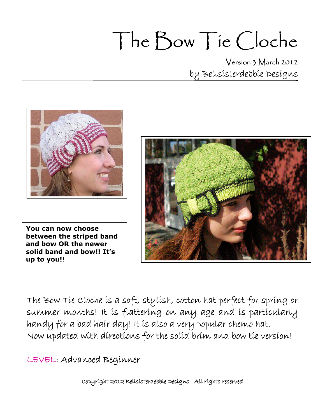# The Bow Tie Cloche

Version 3 March 2012 by Bellsisterdebbie Designs



 You can now choose and bow OR the newer solid band and bow!! It's up to you!! between the striped band

 $\overline{a}$ 



The Bow Tie Cloche is a soft, stylish, cotton hat perfect for spring or summer months! It is flattering on any age and is particularly handy for a bad hair day! It is also a very popular chemo hat. Now updated with directions for the solid brim and bow tie version!

LEVEL: Advanced Beginner

Copyright 2012 Bellsisterdebbie Designs All rights reserved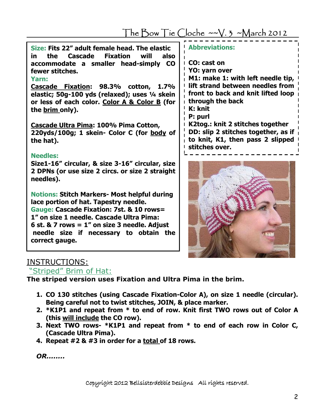The Bow Tie Cloche  $-v.3$  ~March 2012

| Size: Fits 22" adult female head. The elastic<br>in the Cascade Fixation will also<br>accommodate a smaller head-simply CO |                               |
|----------------------------------------------------------------------------------------------------------------------------|-------------------------------|
|                                                                                                                            |                               |
| fewer stitches.                                                                                                            |                               |
| Yarn:                                                                                                                      | $\lfloor \frac{1}{1} \rfloor$ |

Cascade Fixation: 98.3% cotton, 1.7% elastic; 50g-100 yds (relaxed); uses 1/4 skein or less of each color. Color A & Color B (for the brim only).

Cascade Ultra Pima: 100% Pima Cotton, 220yds/100g; 1 skein- Color C (for body of the hat).

#### Needles:

Size1-16" circular, & size 3-16" circular, size 2 DPNs (or use size 2 circs. or size 2 straight needles).

Notions: Stitch Markers- Most helpful during lace portion of hat. Tapestry needle. Gauge: Cascade Fixation: 7st. & 10 rows= 1" on size 1 needle. Cascade Ultra Pima: 6 st. & 7 rows =  $1''$  on size 3 needle. Adjust needle size if necessary to obtain the correct gauge.

| <b>Abbreviations:</b>                                                                                                                                                      |
|----------------------------------------------------------------------------------------------------------------------------------------------------------------------------|
| CO: cast on<br>YO: yarn over<br>M1: make 1: with left needle tip,<br>lift strand between needles from<br>front to back and knit lifted loop<br>through the back<br>K: knit |
| P: purl<br>K2tog.: knit 2 stitches together<br>DD: slip 2 stitches together, as if<br>to knit, K1, then pass 2 slipped<br>stitches over.                                   |



## INSTRUCTIONS:

"Striped" Brim of Hat:

The striped version uses Fixation and Ultra Pima in the brim.

- 1. CO 130 stitches (using Cascade Fixation-Color A), on size 1 needle (circular). Being careful not to twist stitches, JOIN, & place marker.
- 2. \*K1P1 and repeat from \* to end of row. Knit first TWO rows out of Color A (this will include the CO row).
- 3. Next TWO rows- \*K1P1 and repeat from \* to end of each row in Color C, (Cascade Ultra Pima).
- 4. Repeat  $#2 \& #3$  in order for a total of 18 rows.

OR........

Copyright 2012 Bellsisterdebbie Designs All rights reserved.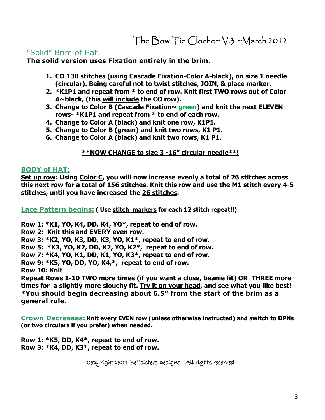## "Solid" Brim of Hat:

The solid version uses Fixation entirely in the brim.

- 1. CO 130 stitches (using Cascade Fixation-Color A-black), on size 1 needle (circular). Being careful not to twist stitches, JOIN, & place marker.
- 2. \*K1P1 and repeat from \* to end of row. Knit first TWO rows out of Color A~black, (this will include the CO row).
- 3. Change to Color B (Cascade Fixation $\sim$  green) and knit the next ELEVEN rows- \*K1P1 and repeat from \* to end of each row.
- 4. Change to Color A (black) and knit one row, K1P1.
- 5. Change to Color B (green) and knit two rows, K1 P1.
- 6. Change to Color A (black) and knit two rows, K1 P1.

#### \*\*NOW CHANGE to size 3 -16" circular needle\*\*!

#### BODY of HAT:

Set up row: Using Color C, you will now increase evenly a total of 26 stitches across this next row for a total of 156 stitches. Knit this row and use the M1 stitch every 4-5 stitches, until you have increased the 26 stitches.

Lace Pattern begins: (Use stitch markers for each 12 stitch repeat!!)

Row 1: \*K1, YO, K4, DD, K4, YO\*, repeat to end of row.

Row 2: Knit this and EVERY even row.

Row 3: \*K2, YO, K3, DD, K3, YO, K1\*, repeat to end of row.

Row 5: \*K3, YO, K2, DD, K2, YO, K2\*, repeat to end of row.

Row 7: \*K4, YO, K1, DD, K1, YO, K3\*, repeat to end of row.

Row 9: \*K5, YO, DD, YO, K4,\*, repeat to end of row.

Row 10: Knit

Repeat Rows 1-10 TWO more times (if you want a close, beanie fit) OR THREE more times for a slightly more slouchy fit. T<u>ry it on your head</u>, and see what you like best! \*You should begin decreasing about 6.5" from the start of the brim as a general rule.

Crown Decreases: Knit every EVEN row (unless otherwise instructed) and switch to DPNs (or two circulars if you prefer) when needed.

Row 1: \*K5, DD, K4\*, repeat to end of row. Row 3: \*K4, DD, K3\*, repeat to end of row.

Copyright 2011 Bellsisters Designs All rights reserved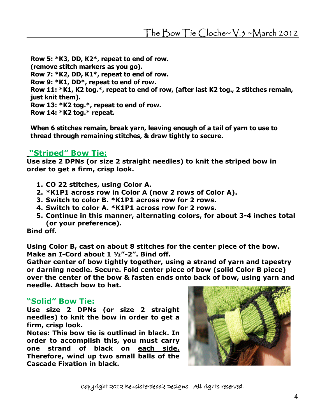Row 5: \*K3, DD, K2\*, repeat to end of row. (remove stitch markers as you go). Row 7: \*K2, DD, K1\*, repeat to end of row. Row 9: \*K1, DD\*, repeat to end of row. Row 11: \*K1, K2 tog.\*, repeat to end of row, (after last K2 tog., 2 stitches remain, just knit them). Row 13: \*K2 tog.\*, repeat to end of row. Row 14: \*K2 tog.\* repeat.

When 6 stitches remain, break yarn, leaving enough of a tail of yarn to use to thread through remaining stitches, & draw tightly to secure.

## "Striped" Bow Tie:

Use size 2 DPNs (or size 2 straight needles) to knit the striped bow in order to get a firm, crisp look.

- 1. CO 22 stitches, using Color A.
- 2. \*K1P1 across row in Color A (now 2 rows of Color A).
- 3. Switch to color B. \*K1P1 across row for 2 rows.
- 4. Switch to color A. \*K1P1 across row for 2 rows.
- 5. Continue in this manner, alternating colors, for about 3-4 inches total (or your preference).

Bind off.

Using Color B, cast on about 8 stitches for the center piece of the bow. Make an I-Cord about 1 1/2"-2". Bind off.

Gather center of bow tightly together, using a strand of yarn and tapestry or darning needle. Secure. Fold center piece of bow (solid Color B piece) over the center of the bow & fasten ends onto back of bow, using yarn and needle. Attach bow to hat.

## "Solid" Bow Tie:

Use size 2 DPNs (or size 2 straight needles) to knit the bow in order to get a firm, crisp look.

Notes: This bow tie is outlined in black. In order to accomplish this, you must carry one strand of black on each side. Therefore, wind up two small balls of the Cascade Fixation in black.



Copyright 2012 Bellsisterdebbie Designs All rights reserved.